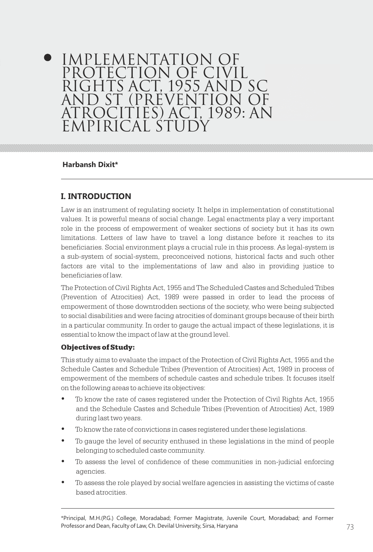# IMPLEMENTATION OF PROTECTION OF CIVIL RIGHTS ACT, 1955 AND SC AND ST (PREVENTION OF ATROCITIES) ACT, 1989: AN EMPIRICAL STUD

## **Harbansh Dixit\***

# **I. INTRODUCTION**

Law is an instrument of regulating society. It helps in implementation of constitutional values. It is powerful means of social change. Legal enactments play a very important role in the process of empowerment of weaker sections of society but it has its own limitations. Letters of law have to travel a long distance before it reaches to its beneficiaries. Social environment plays a crucial rule in this process. As legal-system is a sub-system of social-system, preconceived notions, historical facts and such other factors are vital to the implementations of law and also in providing justice to beneficiaries of law.

The Protection of Civil Rights Act, 1955 and The Scheduled Castes and Scheduled Tribes (Prevention of Atrocities) Act, 1989 were passed in order to lead the process of empowerment of those downtrodden sections of the society, who were being subjected to social disabilities and were facing atrocities of dominant groups because of their birth in a particular community. In order to gauge the actual impact of these legislations, it is essential to know the impact of law at the ground level.

## Objectives of Study:

This study aims to evaluate the impact of the Protection of Civil Rights Act, 1955 and the Schedule Castes and Schedule Tribes (Prevention of Atrocities) Act, 1989 in process of empowerment of the members of schedule castes and schedule tribes. It focuses itself on the following areas to achieve its objectives:

- To know the rate of cases registered under the Protection of Civil Rights Act, 1955 and the Schedule Castes and Schedule Tribes (Prevention of Atrocities) Act, 1989 during last two years.
- To know the rate of convictions in cases registered under these legislations.
- To gauge the level of security enthused in these legislations in the mind of people belonging to scheduled caste community.
- To assess the level of confidence of these communities in non-judicial enforcing agencies.
- To assess the role played by social welfare agencies in assisting the victims of caste based atrocities.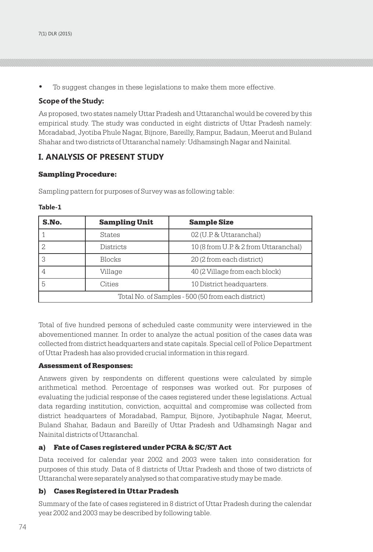To suggest changes in these legislations to make them more effective.

### **Scope of the Study:**

As proposed, two states namely Uttar Pradesh and Uttaranchal would be covered by this empirical study. The study was conducted in eight districts of Uttar Pradesh namely: Moradabad, Jyotiba Phule Nagar, Bijnore, Bareilly, Rampur, Badaun, Meerut and Buland Shahar and two districts of Uttaranchal namely: Udhamsingh Nagar and Nainital.

## **I. ANALYSIS OF PRESENT STUDY**

#### Sampling Procedure:

Sampling pattern for purposes of Survey was as following table:

| . .<br>۰.<br>$\sim$<br>×<br>M. |  |  |  |  |  |
|--------------------------------|--|--|--|--|--|
|--------------------------------|--|--|--|--|--|

| S.No.                                              | <b>Sampling Unit</b>                | <b>Sample Size</b>                    |  |  |  |  |
|----------------------------------------------------|-------------------------------------|---------------------------------------|--|--|--|--|
|                                                    | <b>States</b>                       | 02 (U.P. & Uttaranchal)               |  |  |  |  |
| ◠                                                  | <b>Districts</b>                    | 10 (8 from U.P. & 2 from Uttaranchal) |  |  |  |  |
| 3                                                  | <b>Blocks</b>                       | 20 (2 from each district)             |  |  |  |  |
|                                                    | Village                             | 40 (2 Village from each block)        |  |  |  |  |
| 5                                                  | 10 District headquarters.<br>Cities |                                       |  |  |  |  |
| Total No. of Samples - 500 (50 from each district) |                                     |                                       |  |  |  |  |

Total of five hundred persons of scheduled caste community were interviewed in the abovementioned manner. In order to analyze the actual position of the cases data was collected from district headquarters and state capitals. Special cell of Police Department of Uttar Pradesh has also provided crucial information in this regard.

#### Assessment of Responses:

Answers given by respondents on different questions were calculated by simple arithmetical method. Percentage of responses was worked out. For purposes of evaluating the judicial response of the cases registered under these legislations. Actual data regarding institution, conviction, acquittal and compromise was collected from district headquarters of Moradabad, Rampur, Bijnore, Jyotibaphule Nagar, Meerut, Buland Shahar, Badaun and Bareilly of Uttar Pradesh and Udhamsingh Nagar and Nainital districts of Uttaranchal.

#### a) Fate of Cases registered under PCRA & SC/ST Act

Data received for calendar year 2002 and 2003 were taken into consideration for purposes of this study. Data of 8 districts of Uttar Pradesh and those of two districts of Uttaranchal were separately analysed so that comparative study may be made.

#### b) Cases Registered in Uttar Pradesh

Summary of the fate of cases registered in 8 district of Uttar Pradesh during the calendar year 2002 and 2003 may be described by following table.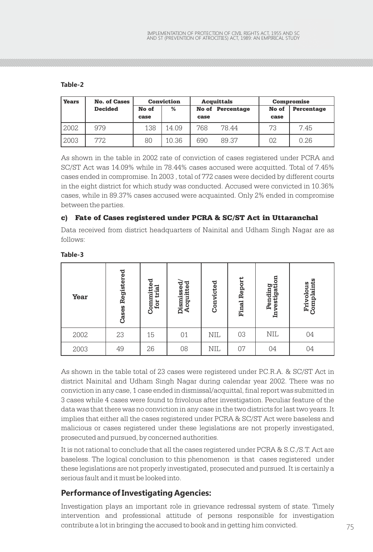## **Table-2**

| <b>Years</b> | <b>No. of Cases</b> |       | <b>Conviction</b> | <b>Acquittals</b> |                         | Compromise |            |
|--------------|---------------------|-------|-------------------|-------------------|-------------------------|------------|------------|
|              | <b>Decided</b>      | No of | %                 |                   | <b>No of Percentage</b> | No of      | Percentage |
|              |                     | case  |                   | case              |                         | case       |            |
| 2002         | 979                 | 138   | 14.09             | 768               | 78.44                   | 73         | 7.45       |
| 2003         | 772                 | 80    | 10.36             | 690               | 89.37                   | 02         | 0.26       |

As shown in the table in 2002 rate of conviction of cases registered under PCRA and SC/ST Act was 14.09% while in 78.44% cases accused were acquitted. Total of 7.45% cases ended in compromise. In 2003 , total of 772 cases were decided by different courts in the eight district for which study was conducted. Accused were convicted in 10.36% cases, while in 89.37% cases accused were acquainted. Only 2% ended in compromise between the parties.

## c) Fate of Cases registered under PCRA & SC/ST Act in Uttaranchal

Data received from district headquarters of Nainital and Udham Singh Nagar are as follows:

| Year                                                                                                                                                                                                                                                                                                                                                                                                                                                                                                                                                                                                                                                                                                         | <b>Cases Registered</b> | Committed<br>for trial | Dismissed/<br>Acquitted | Convicted  | <b>Final Report</b> | Pending<br>Investigation | Complaints<br>Frivolous |  |
|--------------------------------------------------------------------------------------------------------------------------------------------------------------------------------------------------------------------------------------------------------------------------------------------------------------------------------------------------------------------------------------------------------------------------------------------------------------------------------------------------------------------------------------------------------------------------------------------------------------------------------------------------------------------------------------------------------------|-------------------------|------------------------|-------------------------|------------|---------------------|--------------------------|-------------------------|--|
| 2002                                                                                                                                                                                                                                                                                                                                                                                                                                                                                                                                                                                                                                                                                                         | 23                      | 15                     | 01                      | <b>NIL</b> | 03                  | <b>NIL</b>               | 04                      |  |
| 2003                                                                                                                                                                                                                                                                                                                                                                                                                                                                                                                                                                                                                                                                                                         | 49                      | 26                     | 08                      | <b>NIL</b> | 07                  | 04                       | 04                      |  |
| As shown in the table total of 23 cases were registered under P.C.R.A. & SC/ST Act in<br>district Nainital and Udham Singh Nagar during calendar year 2002. There was no<br>conviction in any case, 1 case ended in dismissal/acquittal, final report was submitted in<br>3 cases while 4 cases were found to frivolous after investigation. Peculiar feature of the<br>data was that there was no conviction in any case in the two districts for last two years. It<br>implies that either all the cases registered under PCRA & SC/ST Act were baseless and<br>malicious or cases registered under these legislations are not properly investigated,<br>prosecuted and pursued, by concerned authorities. |                         |                        |                         |            |                     |                          |                         |  |
| It is not rational to conclude that all the cases registered under PCRA & S.C./S.T. Act are<br>baseless. The logical conclusion to this phenomenon is that cases registered under<br>these legislations are not properly investigated, prosecuted and pursued. It is certainly a<br>serious fault and it must be looked into.                                                                                                                                                                                                                                                                                                                                                                                |                         |                        |                         |            |                     |                          |                         |  |
| <b>Performance of Investigating Agencies:</b>                                                                                                                                                                                                                                                                                                                                                                                                                                                                                                                                                                                                                                                                |                         |                        |                         |            |                     |                          |                         |  |
| Investigation plays an important role in grievance redressal system of state. Timely<br>intervention and professional attitude of persons responsible for investigation<br>contribute a lot in bringing the accused to book and in getting him convicted.                                                                                                                                                                                                                                                                                                                                                                                                                                                    |                         |                        |                         |            |                     |                          |                         |  |

#### **Table-3**

# **Performance of Investigating Agencies:**

contribute a lot in bringing the accused to book and in getting him convicted.  $75$ Investigation plays an important role in grievance redressal system of state. Timely intervention and professional attitude of persons responsible for investigation